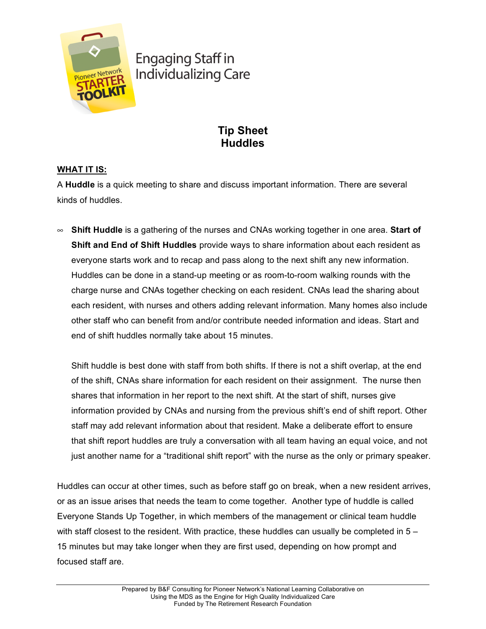

**Engaging Staff in Individualizing Care** 

# **Tip Sheet Huddles**

# **WHAT IT IS:**

A **Huddle** is a quick meeting to share and discuss important information. There are several kinds of huddles.

• **Shift Huddle** is a gathering of the nurses and CNAs working together in one area. **Start of Shift and End of Shift Huddles** provide ways to share information about each resident as everyone starts work and to recap and pass along to the next shift any new information. Huddles can be done in a stand-up meeting or as room-to-room walking rounds with the charge nurse and CNAs together checking on each resident. CNAs lead the sharing about each resident, with nurses and others adding relevant information. Many homes also include other staff who can benefit from and/or contribute needed information and ideas. Start and end of shift huddles normally take about 15 minutes.

Shift huddle is best done with staff from both shifts. If there is not a shift overlap, at the end of the shift, CNAs share information for each resident on their assignment. The nurse then shares that information in her report to the next shift. At the start of shift, nurses give information provided by CNAs and nursing from the previous shift's end of shift report. Other staff may add relevant information about that resident. Make a deliberate effort to ensure that shift report huddles are truly a conversation with all team having an equal voice, and not just another name for a "traditional shift report" with the nurse as the only or primary speaker.

Huddles can occur at other times, such as before staff go on break, when a new resident arrives, or as an issue arises that needs the team to come together. Another type of huddle is called Everyone Stands Up Together, in which members of the management or clinical team huddle with staff closest to the resident. With practice, these huddles can usually be completed in  $5 -$ 15 minutes but may take longer when they are first used, depending on how prompt and focused staff are.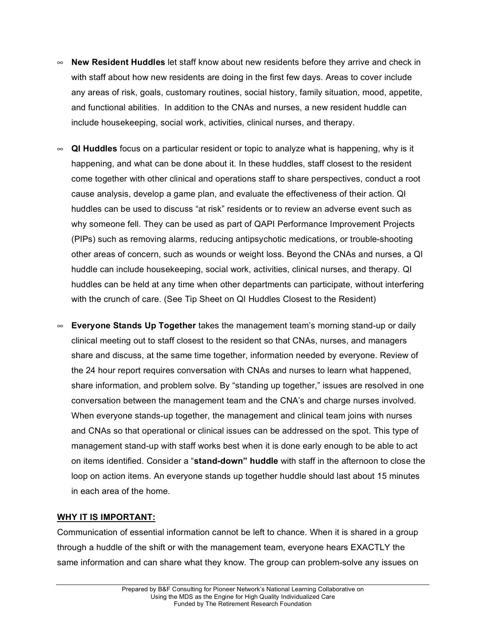- **New Resident Huddles** let staff know about new residents before they arrive and check in with staff about how new residents are doing in the first few days. Areas to cover include any areas of risk, goals, customary routines, social history, family situation, mood, appetite, and functional abilities. In addition to the CNAs and nurses, a new resident huddle can include housekeeping, social work, activities, clinical nurses, and therapy.
- **QI Huddles** focus on a particular resident or topic to analyze what is happening, why is it happening, and what can be done about it. In these huddles, staff closest to the resident come together with other clinical and operations staff to share perspectives, conduct a root cause analysis, develop a game plan, and evaluate the effectiveness of their action. QI huddles can be used to discuss "at risk" residents or to review an adverse event such as why someone fell. They can be used as part of QAPI Performance Improvement Projects (PIPs) such as removing alarms, reducing antipsychotic medications, or trouble-shooting other areas of concern, such as wounds or weight loss. Beyond the CNAs and nurses, a QI huddle can include housekeeping, social work, activities, clinical nurses, and therapy. QI huddles can be held at any time when other departments can participate, without interfering with the crunch of care. (See Tip Sheet on QI Huddles Closest to the Resident)
- **Everyone Stands Up Together** takes the management team's morning stand-up or daily clinical meeting out to staff closest to the resident so that CNAs, nurses, and managers share and discuss, at the same time together, information needed by everyone. Review of the 24 hour report requires conversation with CNAs and nurses to learn what happened, share information, and problem solve. By "standing up together," issues are resolved in one conversation between the management team and the CNA's and charge nurses involved. When everyone stands-up together, the management and clinical team joins with nurses and CNAs so that operational or clinical issues can be addressed on the spot. This type of management stand-up with staff works best when it is done early enough to be able to act on items identified. Consider a "**stand-down" huddle** with staff in the afternoon to close the loop on action items. An everyone stands up together huddle should last about 15 minutes in each area of the home.

## **WHY IT IS IMPORTANT:**

Communication of essential information cannot be left to chance. When it is shared in a group through a huddle of the shift or with the management team, everyone hears EXACTLY the same information and can share what they know. The group can problem-solve any issues on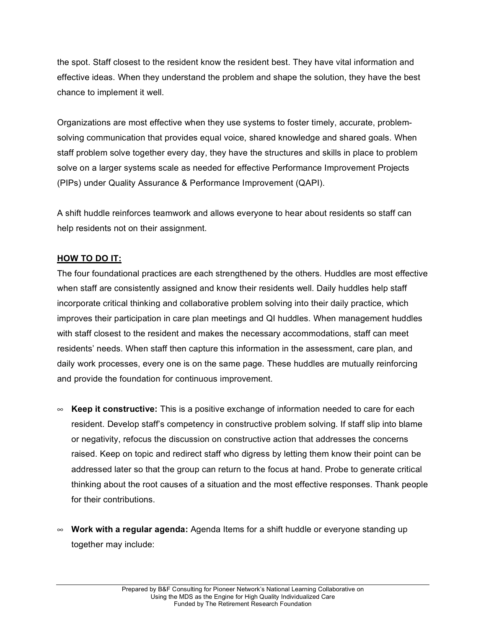the spot. Staff closest to the resident know the resident best. They have vital information and effective ideas. When they understand the problem and shape the solution, they have the best chance to implement it well.

Organizations are most effective when they use systems to foster timely, accurate, problemsolving communication that provides equal voice, shared knowledge and shared goals. When staff problem solve together every day, they have the structures and skills in place to problem solve on a larger systems scale as needed for effective Performance Improvement Projects (PIPs) under Quality Assurance & Performance Improvement (QAPI).

A shift huddle reinforces teamwork and allows everyone to hear about residents so staff can help residents not on their assignment.

## **HOW TO DO IT:**

The four foundational practices are each strengthened by the others. Huddles are most effective when staff are consistently assigned and know their residents well. Daily huddles help staff incorporate critical thinking and collaborative problem solving into their daily practice, which improves their participation in care plan meetings and QI huddles. When management huddles with staff closest to the resident and makes the necessary accommodations, staff can meet residents' needs. When staff then capture this information in the assessment, care plan, and daily work processes, every one is on the same page. These huddles are mutually reinforcing and provide the foundation for continuous improvement.

- **Keep it constructive:** This is a positive exchange of information needed to care for each resident. Develop staff's competency in constructive problem solving. If staff slip into blame or negativity, refocus the discussion on constructive action that addresses the concerns raised. Keep on topic and redirect staff who digress by letting them know their point can be addressed later so that the group can return to the focus at hand. Probe to generate critical thinking about the root causes of a situation and the most effective responses. Thank people for their contributions.
- **Work with a regular agenda:** Agenda Items for a shift huddle or everyone standing up together may include: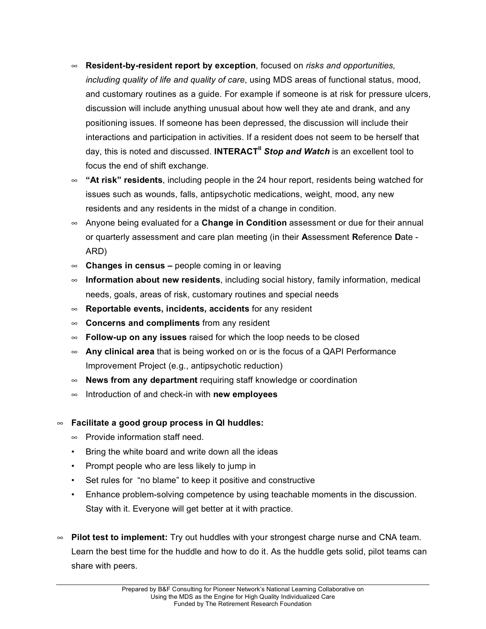- **Resident-by-resident report by exception**, focused on *risks and opportunities, including quality of life and quality of care*, using MDS areas of functional status, mood, and customary routines as a guide. For example if someone is at risk for pressure ulcers, discussion will include anything unusual about how well they ate and drank, and any positioning issues. If someone has been depressed, the discussion will include their interactions and participation in activities. If a resident does not seem to be herself that day, this is noted and discussed. **INTERACTII** *Stop and Watch* is an excellent tool to focus the end of shift exchange.
- **"At risk" residents**, including people in the 24 hour report, residents being watched for issues such as wounds, falls, antipsychotic medications, weight, mood, any new residents and any residents in the midst of a change in condition.
- Anyone being evaluated for a **Change in Condition** assessment or due for their annual or quarterly assessment and care plan meeting (in their **A**ssessment **R**eference **D**ate - ARD)
- **Changes in census –** people coming in or leaving
- **Information about new residents**, including social history, family information, medical needs, goals, areas of risk, customary routines and special needs
- **Reportable events, incidents, accidents** for any resident
- **Concerns and compliments** from any resident
- **Follow-up on any issues** raised for which the loop needs to be closed
- **Any clinical area** that is being worked on or is the focus of a QAPI Performance Improvement Project (e.g., antipsychotic reduction)
- **News from any department** requiring staff knowledge or coordination
- Introduction of and check-in with **new employees**
- **Facilitate a good group process in QI huddles:**
	- $\infty$  Provide information staff need.
	- Bring the white board and write down all the ideas
	- Prompt people who are less likely to jump in
	- Set rules for "no blame" to keep it positive and constructive
	- Enhance problem-solving competence by using teachable moments in the discussion. Stay with it. Everyone will get better at it with practice.
- **Pilot test to implement:** Try out huddles with your strongest charge nurse and CNA team. Learn the best time for the huddle and how to do it. As the huddle gets solid, pilot teams can share with peers.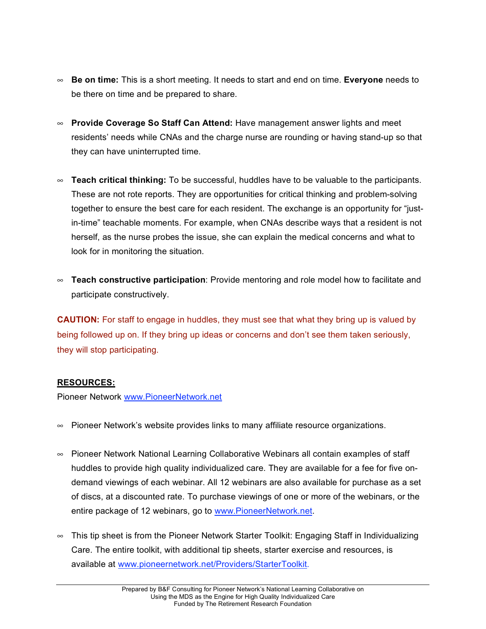- **Be on time:** This is a short meeting. It needs to start and end on time. **Everyone** needs to be there on time and be prepared to share.
- **Provide Coverage So Staff Can Attend:** Have management answer lights and meet residents' needs while CNAs and the charge nurse are rounding or having stand-up so that they can have uninterrupted time.
- **Teach critical thinking:** To be successful, huddles have to be valuable to the participants. These are not rote reports. They are opportunities for critical thinking and problem-solving together to ensure the best care for each resident. The exchange is an opportunity for "justin-time" teachable moments. For example, when CNAs describe ways that a resident is not herself, as the nurse probes the issue, she can explain the medical concerns and what to look for in monitoring the situation.
- **Teach constructive participation**: Provide mentoring and role model how to facilitate and participate constructively.

**CAUTION:** For staff to engage in huddles, they must see that what they bring up is valued by being followed up on. If they bring up ideas or concerns and don't see them taken seriously, they will stop participating.

# **RESOURCES:**

Pioneer Network www.PioneerNetwork.net

- $\infty$  Pioneer Network's website provides links to many affiliate resource organizations.
- Pioneer Network National Learning Collaborative Webinars all contain examples of staff huddles to provide high quality individualized care. They are available for a fee for five ondemand viewings of each webinar. All 12 webinars are also available for purchase as a set of discs, at a discounted rate. To purchase viewings of one or more of the webinars, or the entire package of 12 webinars, go to www.PioneerNetwork.net.
- $\infty$  This tip sheet is from the Pioneer Network Starter Toolkit: Engaging Staff in Individualizing Care. The entire toolkit, with additional tip sheets, starter exercise and resources, is available at www.pioneernetwork.net/Providers/StarterToolkit.